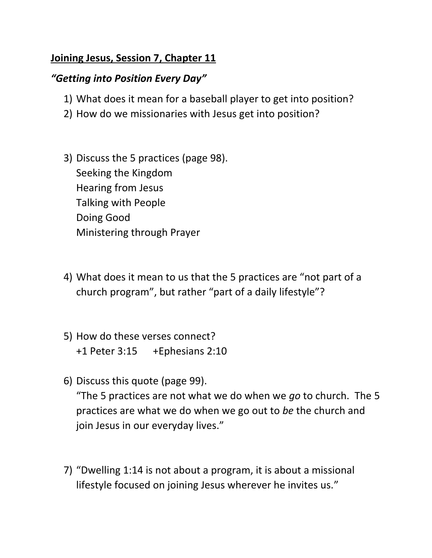## **Joining Jesus, Session 7, Chapter 11**

## *"Getting into Position Every Day"*

- 1) What does it mean for a baseball player to get into position?
- 2) How do we missionaries with Jesus get into position?
- 3) Discuss the 5 practices (page 98). Seeking the Kingdom Hearing from Jesus Talking with People Doing Good Ministering through Prayer
- 4) What does it mean to us that the 5 practices are "not part of a church program", but rather "part of a daily lifestyle"?
- 5) How do these verses connect? +1 Peter 3:15 +Ephesians 2:10
- 6) Discuss this quote (page 99). "The 5 practices are not what we do when we *go* to church. The 5 practices are what we do when we go out to *be* the church and join Jesus in our everyday lives."
- 7) "Dwelling 1:14 is not about a program, it is about a missional lifestyle focused on joining Jesus wherever he invites us."